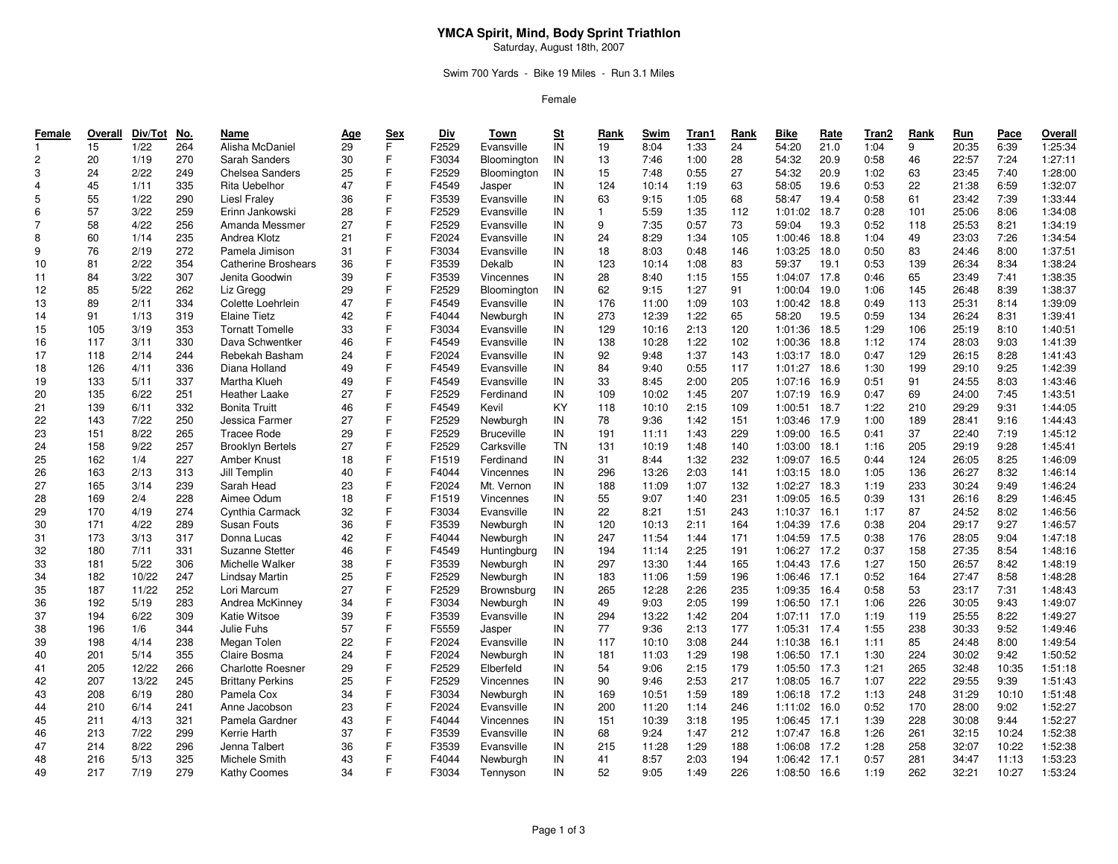## **YMCA Spirit, Mind, Body Sprint Triathlon**

Saturday, August 18th, 2007

### Swim 700 Yards - Bike 19 Miles - Run 3.1 Miles

Female

| Female         | Overall | Div/Tot | No. | Name                       | <u>Age</u> | <b>Sex</b>   | Div   | Town              | S <sub>t</sub> | Rank         | Swim  | Tran1 | Rank | <b>Bike</b>  | Rate | Tran2 | Rank | Run   | Pace  | Overall |
|----------------|---------|---------|-----|----------------------------|------------|--------------|-------|-------------------|----------------|--------------|-------|-------|------|--------------|------|-------|------|-------|-------|---------|
| $\mathbf{1}$   | 15      | 1/22    | 264 | Alisha McDaniel            | 29         | F            | F2529 | Evansville        | IN             | 19           | 8:04  | 1:33  | 24   | 54:20        | 21.0 | 1:04  | 9    | 20:35 | 6:39  | 1:25:34 |
| $\overline{c}$ | 20      | 1/19    | 270 | Sarah Sanders              | 30         | F            | F3034 | Bloomington       | IN             | 13           | 7:46  | 1:00  | 28   | 54:32        | 20.9 | 0:58  | 46   | 22:57 | 7:24  | 1:27:11 |
| 3              | 24      | 2/22    | 249 | Chelsea Sanders            | 25         | F            | F2529 | Bloomington       | IN             | 15           | 7:48  | 0:55  | 27   | 54:32        | 20.9 | 1:02  | 63   | 23:45 | 7:40  | 1:28:00 |
| $\overline{4}$ | 45      | 1/11    | 335 | Rita Uebelhor              | 47         | F            | F4549 | Jasper            | IN             | 124          | 10:14 | 1:19  | 63   | 58:05        | 19.6 | 0:53  | 22   | 21:38 | 6:59  | 1:32:07 |
| 5              | 55      | 1/22    | 290 | Liesl Fraley               | 36         | F            | F3539 | Evansville        | IN             | 63           | 9:15  | 1:05  | 68   | 58:47        | 19.4 | 0:58  | 61   | 23:42 | 7:39  | 1:33:44 |
| 6              | 57      | 3/22    | 259 | Erinn Jankowski            | 28         | $\mathsf{F}$ | F2529 | Evansville        | IN             | $\mathbf{1}$ | 5:59  | 1:35  | 112  | 1:01:02      | 18.7 | 0:28  | 101  | 25:06 | 8:06  | 1:34:08 |
| $\overline{7}$ | 58      | 4/22    | 256 | Amanda Messmer             | 27         | F            | F2529 | Evansville        | IN             | 9            | 7:35  | 0:57  | 73   | 59:04        | 19.3 | 0:52  | 118  | 25:53 | 8:21  | 1:34:19 |
| 8              | 60      | 1/14    | 235 | Andrea Klotz               | 21         | F            | F2024 | Evansville        | IN             | 24           | 8:29  | 1:34  | 105  | 1:00:46      | 18.8 | 1:04  | 49   | 23:03 | 7:26  | 1:34:54 |
| 9              | 76      | 2/19    | 272 | Pamela Jimison             | 31         | F            | F3034 | Evansville        | IN             | 18           | 8:03  | 0:48  | 146  | 1:03:25      | 18.0 | 0:50  | 83   | 24:46 | 8:00  | 1:37:51 |
| 10             | 81      | 2/22    | 354 | <b>Catherine Broshears</b> | 36         | $\mathsf{F}$ | F3539 | Dekalb            | IN             | 123          | 10:14 | 1:08  | 83   | 59:37        | 19.1 | 0:53  | 139  | 26:34 | 8:34  | 1:38:24 |
| 11             | 84      | 3/22    | 307 | Jenita Goodwin             | 39         | F            | F3539 | Vincennes         | IN             | 28           | 8:40  | 1:15  | 155  | 1:04:07 17.8 |      | 0:46  | 65   | 23:49 | 7:41  | 1:38:35 |
| 12             | 85      | 5/22    | 262 | Liz Gregg                  | 29         | F            | F2529 | Bloomington       | IN             | 62           | 9:15  | 1:27  | 91   | 1:00:04      | 19.0 | 1:06  | 145  | 26:48 | 8:39  | 1:38:37 |
| 13             | 89      | 2/11    | 334 | Colette Loehrlein          | 47         | E            | F4549 | Evansville        | IN             | 176          | 11:00 | 1:09  | 103  | 1:00:42      | 18.8 | 0:49  | 113  | 25:31 | 8:14  | 1:39:09 |
| 14             | 91      | 1/13    | 319 | <b>Elaine Tietz</b>        | 42         | F            | F4044 | Newburgh          | IN             | 273          | 12:39 | 1:22  | 65   | 58:20        | 19.5 | 0:59  | 134  | 26:24 | 8:31  | 1:39:41 |
| 15             | 105     | 3/19    | 353 | <b>Tornatt Tomelle</b>     | 33         | F            | F3034 | Evansville        | IN             | 129          | 10:16 | 2:13  | 120  | 1:01:36      | 18.5 | 1:29  | 106  | 25:19 | 8:10  | 1:40:51 |
| 16             | 117     | 3/11    | 330 | Dava Schwentker            | 46         | F            | F4549 | Evansville        | IN             | 138          | 10:28 | 1:22  | 102  | 1:00:36      | 18.8 | 1:12  | 174  | 28:03 | 9:03  | 1:41:39 |
| 17             | 118     | 2/14    | 244 | Rebekah Basham             | 24         | E            | F2024 | Evansville        | IN             | 92           | 9:48  | 1:37  | 143  | 1:03:17      | 18.0 | 0:47  | 129  | 26:15 | 8:28  | 1:41:43 |
| 18             | 126     | 4/11    | 336 | Diana Holland              | 49         | F            | F4549 | Evansville        | IN             | 84           | 9:40  | 0:55  | 117  | 1:01:27      | 18.6 | 1:30  | 199  | 29:10 | 9:25  | 1:42:39 |
| 19             | 133     | 5/11    | 337 | Martha Klueh               | 49         | F            | F4549 | Evansville        | IN             | 33           | 8:45  | 2:00  | 205  | 1:07:16      | 16.9 | 0:51  | 91   | 24:55 | 8:03  | 1:43:46 |
| 20             | 135     | 6/22    | 251 | Heather Laake              | 27         | F            | F2529 | Ferdinand         | IN             | 109          | 10:02 | 1:45  | 207  | 1:07:19      | 16.9 | 0:47  | 69   | 24:00 | 7:45  | 1:43:51 |
| 21             | 139     | 6/11    | 332 | <b>Bonita Truitt</b>       | 46         | F            | F4549 | Kevil             | KY             | 118          | 10:10 | 2:15  | 109  | 1:00:51      | 18.7 | 1:22  | 210  | 29:29 | 9:31  | 1:44:05 |
| 22             | 143     | 7/22    | 250 | Jessica Farmer             | 27         | F            | F2529 | Newburgh          | IN             | 78           | 9:36  | 1:42  | 151  | 1:03:46      | 17.9 | 1:00  | 189  | 28:41 | 9:16  | 1:44:43 |
| 23             | 151     | 8/22    | 265 | <b>Tracee Rode</b>         | 29         | E            | F2529 | <b>Bruceville</b> | IN             | 191          | 11:11 | 1:43  | 229  | 1:09:00      | 16.5 | 0:41  | 37   | 22:40 | 7:19  | 1:45:12 |
| 24             | 158     | 9/22    | 257 | <b>Brooklyn Bertels</b>    | 27         | F            | F2529 | Carksville        | <b>TN</b>      | 131          | 10:19 | 1:48  | 140  | 1:03:00      | 18.1 | 1:16  | 205  | 29:19 | 9:28  | 1:45:41 |
| 25             | 162     | 1/4     | 227 | Amber Knust                | 18         | F            | F1519 | Ferdinand         | IN             | 31           | 8:44  | 1:32  | 232  | 1:09:07      | 16.5 | 0:44  | 124  | 26:05 | 8:25  | 1:46:09 |
| 26             | 163     | 2/13    | 313 | Jill Templin               | 40         | E            | F4044 | Vincennes         | IN             | 296          | 13:26 | 2:03  | 141  | 1:03:15      | 18.0 | 1:05  | 136  | 26:27 | 8:32  | 1:46:14 |
| 27             | 165     | 3/14    | 239 | Sarah Head                 | 23         | E            | F2024 | Mt. Vernon        | IN             | 188          | 11:09 | 1:07  | 132  | 1:02:27      | 18.3 | 1:19  | 233  | 30:24 | 9:49  | 1:46:24 |
| 28             | 169     | 2/4     | 228 | Aimee Odum                 | 18         | E            | F1519 | Vincennes         | IN             | 55           | 9:07  | 1:40  | 231  | 1:09:05      | 16.5 | 0:39  | 131  | 26:16 | 8:29  | 1:46:45 |
| 29             | 170     | 4/19    | 274 | Cynthia Carmack            | 32         | E            | F3034 | Evansville        | IN             | 22           | 8:21  | 1:51  | 243  | 1:10:37      | 16.1 | 1:17  | 87   | 24:52 | 8:02  | 1:46:56 |
| 30             | 171     | 4/22    | 289 | Susan Fouts                | 36         | E            | F3539 | Newburgh          | IN             | 120          | 10:13 | 2:11  | 164  | 1:04:39      | 17.6 | 0:38  | 204  | 29:17 | 9:27  | 1:46:57 |
| 31             | 173     | 3/13    | 317 | Donna Lucas                | 42         | E            | F4044 | Newburgh          | IN             | 247          | 11:54 | 1:44  | 171  | 1:04:59      | 17.5 | 0:38  | 176  | 28:05 | 9:04  | 1:47:18 |
| 32             | 180     | 7/11    | 331 | Suzanne Stetter            | 46         | E            | F4549 | Huntingburg       | IN             | 194          | 11:14 | 2:25  | 191  | 1:06:27      | 17.2 | 0:37  | 158  | 27:35 | 8:54  | 1:48:16 |
| 33             | 181     | 5/22    | 306 | Michelle Walker            | 38         | $\mathsf{F}$ | F3539 | Newburgh          | IN             | 297          | 13:30 | 1:44  | 165  | 1:04:43      | 17.6 | 1:27  | 150  | 26:57 | 8:42  | 1:48:19 |
| 34             | 182     | 10/22   | 247 | Lindsay Martin             | 25         | F            | F2529 | Newburgh          | IN             | 183          | 11:06 | 1:59  | 196  | 1:06:46 17.1 |      | 0:52  | 164  | 27:47 | 8:58  | 1:48:28 |
| 35             | 187     | 11/22   | 252 | Lori Marcum                | 27         | F            | F2529 | Brownsburg        | IN             | 265          | 12:28 | 2:26  | 235  | 1:09:35      | 16.4 | 0:58  | 53   | 23:17 | 7:31  | 1:48:43 |
| 36             | 192     | 5/19    | 283 | Andrea McKinney            | 34         | F            | F3034 | Newburgh          | IN             | 49           | 9:03  | 2:05  | 199  | 1:06:50      | 17.1 | 1:06  | 226  | 30:05 | 9:43  | 1:49:07 |
| 37             | 194     | 6/22    | 309 | Katie Witsoe               | 39         | $\mathsf{F}$ | F3539 | Evansville        | IN             | 294          | 13:22 | 1:42  | 204  | 1:07:11      | 17.0 | 1:19  | 119  | 25:55 | 8:22  | 1:49:27 |
| 38             | 196     | 1/6     | 344 | Julie Fuhs                 | 57         | F            | F5559 | Jasper            | IN             | 77           | 9:36  | 2:13  | 177  | 1:05:31 17.4 |      | 1:55  | 238  | 30:33 | 9:52  | 1:49:46 |
| 39             | 198     | 4/14    | 238 | Megan Tolen                | 22         | F            | F2024 | Evansville        | IN             | 117          | 10:10 | 3:08  | 244  | 1:10:38      | 16.1 | 1:11  | 85   | 24:48 | 8:00  | 1:49:54 |
| 40             | 201     | 5/14    | 355 | Claire Bosma               | 24         | F            | F2024 | Newburgh          | IN             | 181          | 11:03 | 1:29  | 198  | 1:06:50      | 17.1 | 1:30  | 224  | 30:02 | 9:42  | 1:50:52 |
| 41             | 205     | 12/22   | 266 | <b>Charlotte Roesner</b>   | 29         | E            | F2529 | Elberfeld         | IN             | 54           | 9:06  | 2:15  | 179  | 1:05:50      | 17.3 | 1:21  | 265  | 32:48 | 10:35 | 1:51:18 |
| 42             | 207     | 13/22   | 245 | <b>Brittany Perkins</b>    | 25         | F            | F2529 | Vincennes         | IN             | 90           | 9:46  | 2:53  | 217  | 1:08:05 16.7 |      | 1:07  | 222  | 29:55 | 9:39  | 1:51:43 |
| 43             | 208     | 6/19    | 280 | Pamela Cox                 | 34         | F            | F3034 | Newburgh          | IN             | 169          | 10:51 | 1:59  | 189  | 1:06:18      | 17.2 | 1:13  | 248  | 31:29 | 10:10 | 1:51:48 |
| 44             | 210     | 6/14    | 241 | Anne Jacobson              | 23         | F            | F2024 | Evansville        | IN             | 200          | 11:20 | 1:14  | 246  | 1:11:02      | 16.0 | 0:52  | 170  | 28:00 | 9:02  | 1:52:27 |
| 45             | 211     | 4/13    | 321 | Pamela Gardner             | 43         | F            | F4044 | Vincennes         | IN             | 151          | 10:39 | 3:18  | 195  | 1:06:45      | 17.1 | 1:39  | 228  | 30:08 | 9:44  | 1:52:27 |
| 46             | 213     | 7/22    | 299 | Kerrie Harth               | 37         | E            | F3539 | Evansville        | IN             | 68           | 9:24  | 1:47  | 212  | 1:07:47 16.8 |      | 1:26  | 261  | 32:15 | 10:24 | 1:52:38 |
| 47             | 214     | 8/22    | 296 | Jenna Talbert              | 36         | F            | F3539 | Evansville        | IN             | 215          | 11:28 | 1:29  | 188  | 1:06:08      | 17.2 | 1:28  | 258  | 32:07 | 10:22 | 1:52:38 |
| 48             | 216     | 5/13    | 325 | Michele Smith              | 43         | E            | F4044 | Newburgh          | IN             | 41           | 8:57  | 2:03  | 194  | 1:06:42      | 17.1 | 0:57  | 281  | 34:47 | 11:13 | 1:53:23 |
| 49             | 217     | 7/19    | 279 | Kathy Coomes               | 34         | F            | F3034 | Tennyson          | IN             | 52           | 9:05  | 1:49  | 226  | 1:08:50      | 16.6 | 1:19  | 262  | 32:21 | 10:27 | 1:53:24 |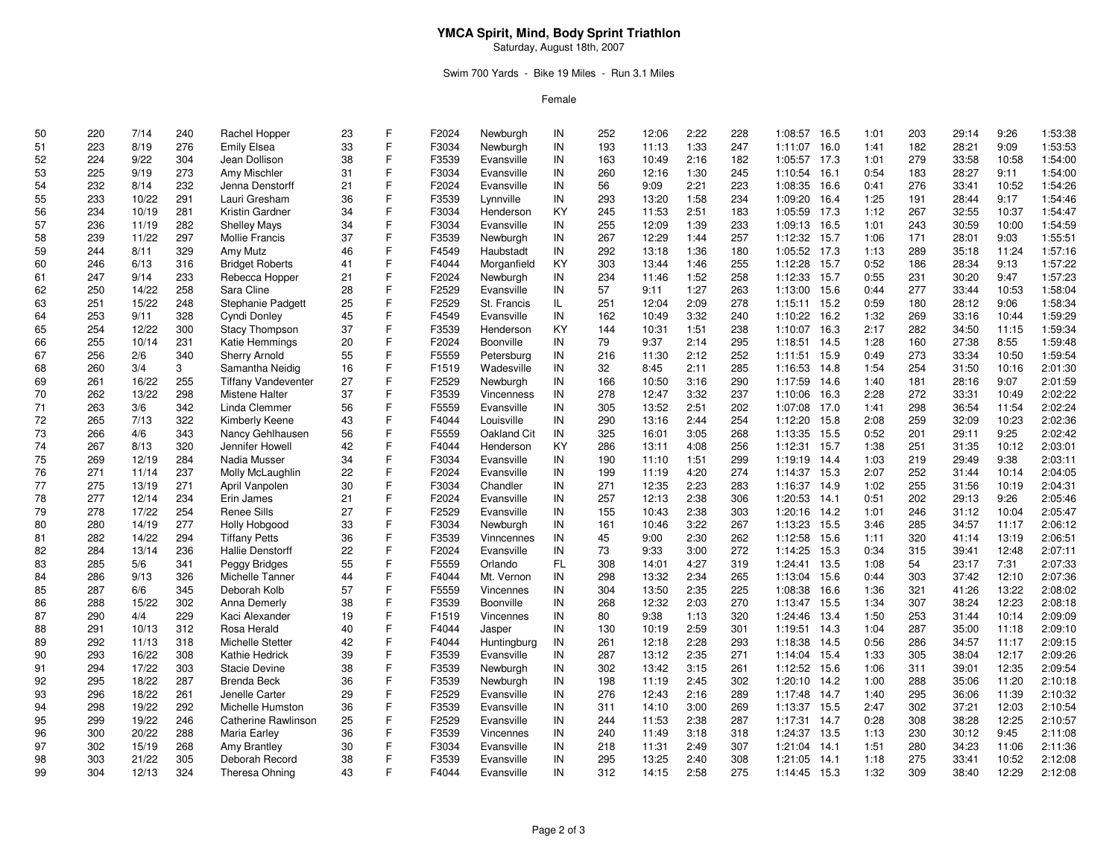## **YMCA Spirit, Mind, Body Sprint Triathlon**

Saturday, August 18th, 2007

### Swim 700 Yards - Bike 19 Miles - Run 3.1 Miles

Female

| 50 | 220 | 7/14  | 240 | Rachel Hopper              | 23 | F | F2024 | Newburgh    | IN  | 252 | 12:06 | 2:22 | 228 | 1:08:57      | 16.5 | 1:01 | 203 | 29:14 | 9:26  | 1:53:38 |
|----|-----|-------|-----|----------------------------|----|---|-------|-------------|-----|-----|-------|------|-----|--------------|------|------|-----|-------|-------|---------|
| 51 | 223 | 8/19  | 276 | <b>Emily Elsea</b>         | 33 | F | F3034 | Newburgh    | IN  | 193 | 11:13 | 1:33 | 247 | 1:11:07      | 16.0 | 1:41 | 182 | 28:21 | 9:09  | 1:53:53 |
| 52 | 224 | 9/22  | 304 | Jean Dollison              | 38 | F | F3539 | Evansville  | IN  | 163 | 10:49 | 2:16 | 182 | 1:05:57      | 17.3 | 1:01 | 279 | 33:58 | 10:58 | 1:54:00 |
| 53 | 225 | 9/19  | 273 | Amy Mischler               | 31 | F | F3034 | Evansville  | IN  | 260 | 12:16 | 1:30 | 245 | 1:10:54      | 16.1 | 0:54 | 183 | 28:27 | 9:11  | 1:54:00 |
| 54 | 232 | 8/14  | 232 | Jenna Denstorff            | 21 | F | F2024 | Evansville  | IN  | 56  | 9:09  | 2:21 | 223 | 1:08:35      | 16.6 | 0:41 | 276 | 33:41 | 10:52 | 1:54:26 |
| 55 | 233 | 10/22 | 291 | Lauri Gresham              | 36 | F | F3539 | Lynnville   | IN  | 293 | 13:20 | 1:58 | 234 | 1:09:20      | 16.4 | 1:25 | 191 | 28:44 | 9:17  | 1:54:46 |
| 56 | 234 | 10/19 | 281 | Kristin Gardner            | 34 | F | F3034 | Henderson   | KY  | 245 | 11:53 | 2:51 | 183 | 1:05:59      | 17.3 | 1:12 | 267 | 32:55 | 10:37 | 1:54:47 |
| 57 | 236 | 11/19 | 282 | <b>Shelley Mays</b>        | 34 | F | F3034 | Evansville  | IN  | 255 | 12:09 | 1:39 | 233 | 1:09:13      | 16.5 | 1:01 | 243 | 30:59 | 10:00 | 1:54:59 |
| 58 | 239 | 11/22 | 297 | <b>Mollie Francis</b>      | 37 | F | F3539 | Newburgh    | IN  | 267 | 12:29 | 1:44 | 257 | 1:12:32      | 15.7 | 1:06 | 171 | 28:01 | 9:03  | 1:55:51 |
| 59 | 244 | 8/11  | 329 | Amy Mutz                   | 46 | F | F4549 | Haubstadt   | IN  | 292 | 13:18 | 1:36 | 180 | 1:05:52 17.3 |      | 1:13 | 289 | 35:18 | 11:24 | 1:57:16 |
| 60 | 246 | 6/13  | 316 | <b>Bridget Roberts</b>     | 41 | F | F4044 | Morganfield | KY  | 303 | 13:44 | 1:46 | 255 | 1:12:28      | 15.7 | 0:52 | 186 | 28:34 | 9:13  | 1:57:22 |
| 61 | 247 | 9/14  | 233 | Rebecca Hopper             | 21 | F | F2024 | Newburgh    | IN  | 234 | 11:46 | 1:52 | 258 | 1:12:33      | 15.7 | 0:55 | 231 | 30:20 | 9:47  | 1:57:23 |
|    |     |       | 258 |                            |    | F | F2529 |             | IN  | 57  |       | 1:27 | 263 |              |      |      |     |       |       | 1:58:04 |
| 62 | 250 | 14/22 |     | Sara Cline                 | 28 | F |       | Evansville  |     |     | 9:11  |      |     | 1:13:00      | 15.6 | 0:44 | 277 | 33:44 | 10:53 |         |
| 63 | 251 | 15/22 | 248 | Stephanie Padgett          | 25 | F | F2529 | St. Francis | IL. | 251 | 12:04 | 2:09 | 278 | 1:15:11      | 15.2 | 0:59 | 180 | 28:12 | 9:06  | 1:58:34 |
| 64 | 253 | 9/11  | 328 | Cyndi Donley               | 45 |   | F4549 | Evansville  | IN  | 162 | 10:49 | 3:32 | 240 | 1:10:22      | 16.2 | 1:32 | 269 | 33:16 | 10:44 | 1:59:29 |
| 65 | 254 | 12/22 | 300 | <b>Stacy Thompson</b>      | 37 | F | F3539 | Henderson   | KY  | 144 | 10:31 | 1:51 | 238 | 1:10:07      | 16.3 | 2:17 | 282 | 34:50 | 11:15 | 1:59:34 |
| 66 | 255 | 10/14 | 231 | Katie Hemmings             | 20 | F | F2024 | Boonville   | IN  | 79  | 9:37  | 2:14 | 295 | 1:18:51      | 14.5 | 1:28 | 160 | 27:38 | 8:55  | 1:59:48 |
| 67 | 256 | 2/6   | 340 | <b>Sherry Arnold</b>       | 55 | F | F5559 | Petersburg  | IN  | 216 | 11:30 | 2:12 | 252 | 1:11:51      | 15.9 | 0:49 | 273 | 33:34 | 10:50 | 1:59:54 |
| 68 | 260 | 3/4   | 3   | Samantha Neidig            | 16 | F | F1519 | Wadesville  | IN  | 32  | 8:45  | 2:11 | 285 | 1:16:53      | 14.8 | 1:54 | 254 | 31:50 | 10:16 | 2:01:30 |
| 69 | 261 | 16/22 | 255 | <b>Tiffany Vandeventer</b> | 27 | F | F2529 | Newburgh    | IN  | 166 | 10:50 | 3:16 | 290 | 1:17:59      | 14.6 | 1:40 | 181 | 28:16 | 9:07  | 2:01:59 |
| 70 | 262 | 13/22 | 298 | Mistene Halter             | 37 | F | F3539 | Vincenness  | IN  | 278 | 12:47 | 3:32 | 237 | 1:10:06      | 16.3 | 2:28 | 272 | 33:31 | 10:49 | 2:02:22 |
| 71 | 263 | 3/6   | 342 | Linda Clemmer              | 56 | F | F5559 | Evansville  | IN  | 305 | 13:52 | 2:51 | 202 | 1:07:08      | 17.0 | 1:41 | 298 | 36:54 | 11:54 | 2:02:24 |
| 72 | 265 | 7/13  | 322 | Kimberly Keene             | 43 | F | F4044 | Louisville  | IN  | 290 | 13:16 | 2:44 | 254 | 1:12:20      | 15.8 | 2:08 | 259 | 32:09 | 10:23 | 2:02:36 |
| 73 | 266 | 4/6   | 343 | Nancy Gehlhausen           | 56 | F | F5559 | Oakland Cit | IN  | 325 | 16:01 | 3:05 | 268 | 1:13:35      | 15.5 | 0:52 | 201 | 29:11 | 9:25  | 2:02:42 |
| 74 | 267 | 8/13  | 320 | Jennifer Howell            | 42 | F | F4044 | Henderson   | KY  | 286 | 13:11 | 4:08 | 256 | 1:12:31      | 15.7 | 1:38 | 251 | 31:35 | 10:12 | 2:03:01 |
| 75 | 269 | 12/19 | 284 | Nadia Musser               | 34 | F | F3034 | Evansville  | IN  | 190 | 11:10 | 1:51 | 299 | 1:19:19      | 14.4 | 1:03 | 219 | 29:49 | 9:38  | 2:03:11 |
| 76 | 271 | 11/14 | 237 | Molly McLaughlin           | 22 | F | F2024 | Evansville  | IN  | 199 | 11:19 | 4:20 | 274 | 1:14:37      | 15.3 | 2:07 | 252 | 31:44 | 10:14 | 2:04:05 |
| 77 | 275 | 13/19 | 271 | April Vanpolen             | 30 | F | F3034 | Chandler    | IN  | 271 | 12:35 | 2:23 | 283 | 1:16:37      | 14.9 | 1:02 | 255 | 31:56 | 10:19 | 2:04:31 |
| 78 | 277 | 12/14 | 234 | Erin James                 | 21 | F | F2024 | Evansville  | IN  | 257 | 12:13 | 2:38 | 306 | 1:20:53      | 14.1 | 0:51 | 202 | 29:13 | 9:26  | 2:05:46 |
| 79 | 278 | 17/22 | 254 | Renee Sills                | 27 | F | F2529 | Evansville  | IN  | 155 | 10:43 | 2:38 | 303 | 1:20:16      | 14.2 | 1:01 | 246 | 31:12 | 10:04 | 2:05:47 |
| 80 | 280 | 14/19 | 277 | <b>Holly Hobgood</b>       | 33 | F | F3034 | Newburgh    | IN  | 161 | 10:46 | 3:22 | 267 | 1:13:23      | 15.5 | 3:46 | 285 | 34:57 | 11:17 | 2:06:12 |
| 81 | 282 | 14/22 | 294 | <b>Tiffany Petts</b>       | 36 | F | F3539 | Vinncennes  | IN  | 45  | 9:00  | 2:30 | 262 | 1:12:58      | 15.6 | 1:11 | 320 | 41:14 | 13:19 | 2:06:51 |
| 82 | 284 | 13/14 | 236 | <b>Hallie Denstorff</b>    | 22 | F | F2024 | Evansville  | IN  | 73  | 9:33  | 3:00 | 272 | 1:14:25      | 15.3 | 0:34 | 315 | 39:41 | 12:48 | 2:07:11 |
| 83 | 285 | 5/6   | 341 | Peggy Bridges              | 55 | F | F5559 | Orlando     | FL  | 308 | 14:01 | 4:27 | 319 | 1:24:41      | 13.5 | 1:08 | 54  | 23:17 | 7:31  | 2:07:33 |
| 84 | 286 | 9/13  | 326 | Michelle Tanner            | 44 | Ė | F4044 | Mt. Vernon  | IN  | 298 | 13:32 | 2:34 | 265 | 1:13:04      | 15.6 | 0:44 | 303 | 37:42 | 12:10 | 2:07:36 |
| 85 | 287 | 6/6   | 345 | Deborah Kolb               | 57 | Ė | F5559 | Vincennes   | IN  | 304 | 13:50 | 2:35 | 225 | 1:08:38      | 16.6 | 1:36 | 321 | 41:26 | 13:22 | 2:08:02 |
| 86 | 288 | 15/22 | 302 | Anna Demerly               | 38 | F | F3539 | Boonville   | IN  | 268 | 12:32 | 2:03 | 270 | 1:13:47      | 15.5 | 1:34 | 307 | 38:24 | 12:23 | 2:08:18 |
| 87 | 290 | 4/4   | 229 | Kaci Alexander             | 19 | F | F1519 | Vincennes   | IN  | 80  | 9:38  | 1:13 | 320 | 1:24:46      | 13.4 | 1:50 | 253 | 31:44 | 10:14 | 2:09:09 |
| 88 | 291 | 10/13 | 312 | Rosa Herald                | 40 | F | F4044 | Jasper      | IN  | 130 | 10:19 | 2:59 | 301 | 1:19:51      | 14.3 | 1:04 | 287 | 35:00 | 11:18 | 2:09:10 |
| 89 | 292 | 11/13 | 318 | Michelle Stetter           | 42 | Ė | F4044 | Huntingburg | IN  | 261 | 12:18 | 2:28 | 293 | 1:18:38      | 14.5 | 0:56 | 286 | 34:57 | 11:17 | 2:09:15 |
| 90 | 293 | 16/22 | 308 | Kathie Hedrick             | 39 | F | F3539 | Evansville  | IN  | 287 | 13:12 | 2:35 | 271 | 1:14:04 15.4 |      | 1:33 | 305 | 38:04 | 12:17 | 2:09:26 |
| 91 | 294 | 17/22 | 303 | <b>Stacie Devine</b>       | 38 | F | F3539 | Newburgh    | IN  | 302 | 13:42 | 3:15 | 261 | 1:12:52      | 15.6 | 1:06 | 311 | 39:01 | 12:35 | 2:09:54 |
| 92 | 295 | 18/22 | 287 | <b>Brenda Beck</b>         | 36 | F | F3539 | Newburgh    | IN  | 198 | 11:19 | 2:45 | 302 | 1:20:10      | 14.2 | 1:00 | 288 | 35:06 | 11:20 | 2:10:18 |
| 93 | 296 | 18/22 | 261 | Jenelle Carter             | 29 | F | F2529 | Evansville  | IN  | 276 | 12:43 | 2:16 | 289 | 1:17:48      | 14.7 | 1:40 | 295 | 36:06 | 11:39 | 2:10:32 |
| 94 | 298 | 19/22 | 292 | Michelle Humston           | 36 | F | F3539 | Evansville  | IN  | 311 | 14:10 | 3:00 | 269 | 1:13:37      | 15.5 | 2:47 | 302 | 37:21 | 12:03 | 2:10:54 |
| 95 | 299 | 19/22 | 246 | Catherine Rawlinson        | 25 | F | F2529 | Evansville  | IN  | 244 | 11:53 | 2:38 | 287 | 1:17:31      | 14.7 | 0:28 | 308 | 38:28 | 12:25 | 2:10:57 |
| 96 | 300 | 20/22 | 288 | Maria Earley               | 36 | F | F3539 | Vincennes   | IN  | 240 | 11:49 | 3:18 | 318 | 1:24:37      | 13.5 | 1:13 | 230 | 30:12 | 9:45  | 2:11:08 |
| 97 | 302 | 15/19 | 268 | Amy Brantley               | 30 | F | F3034 | Evansville  | IN  | 218 | 11:31 | 2:49 | 307 | 1:21:04      | 14.1 | 1:51 | 280 | 34:23 | 11:06 | 2:11:36 |
| 98 | 303 | 21/22 | 305 | Deborah Record             | 38 | F | F3539 | Evansville  | IN  | 295 | 13:25 | 2:40 | 308 | 1:21:05      | 14.1 | 1:18 | 275 | 33:41 | 10:52 | 2:12:08 |
| 99 | 304 | 12/13 | 324 | Theresa Ohning             | 43 | E | F4044 | Evansville  | IN  | 312 | 14:15 | 2:58 | 275 | 1:14:45      | 15.3 | 1:32 | 309 | 38:40 | 12:29 | 2:12:08 |
|    |     |       |     |                            |    |   |       |             |     |     |       |      |     |              |      |      |     |       |       |         |